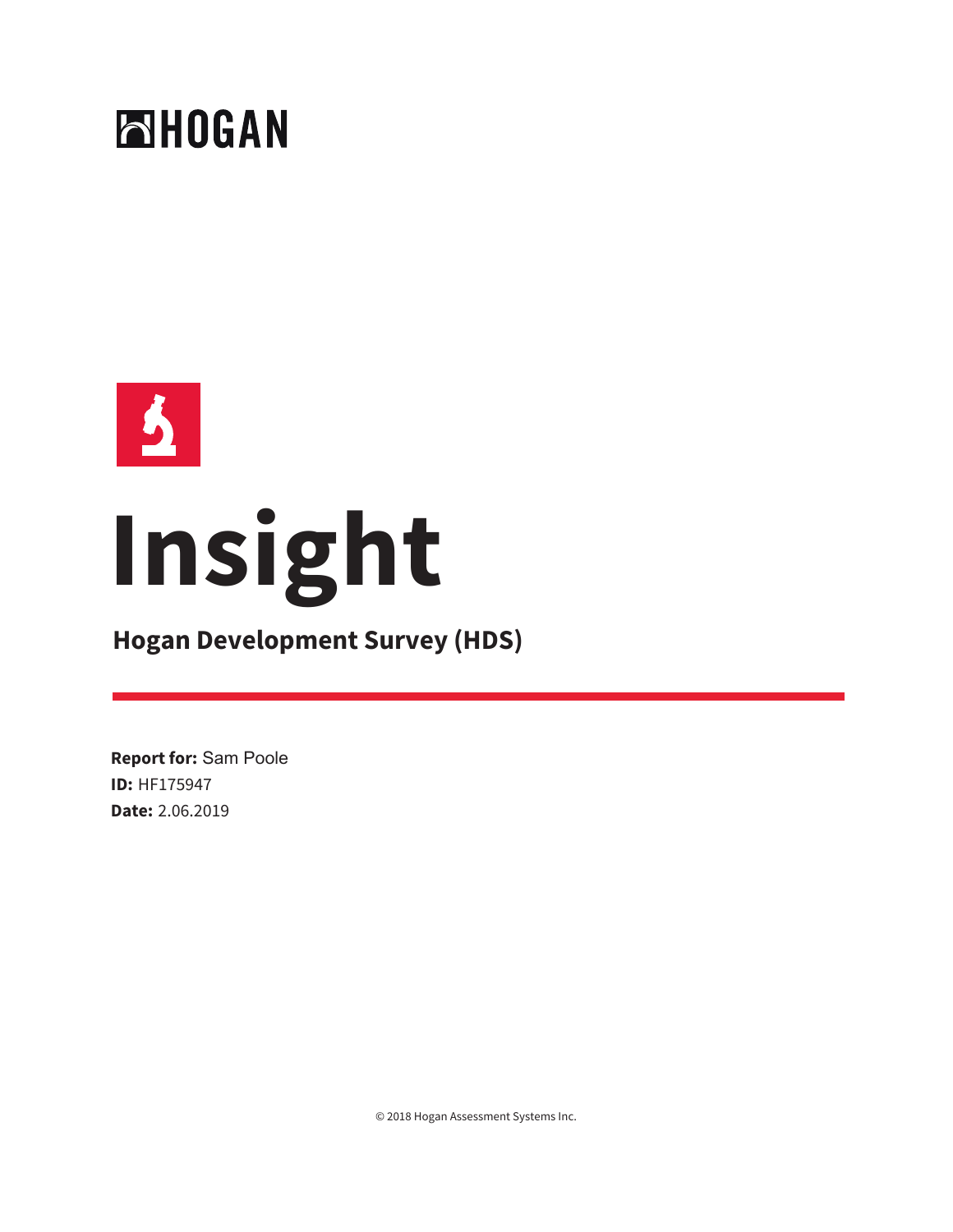



# **Insight**

# **Hogan Development Survey (HDS)**

**Report for:** Sam Poole **ID:** HF175947 **Date:** 2.06.2019

© 2018 Hogan Assessment Systems Inc.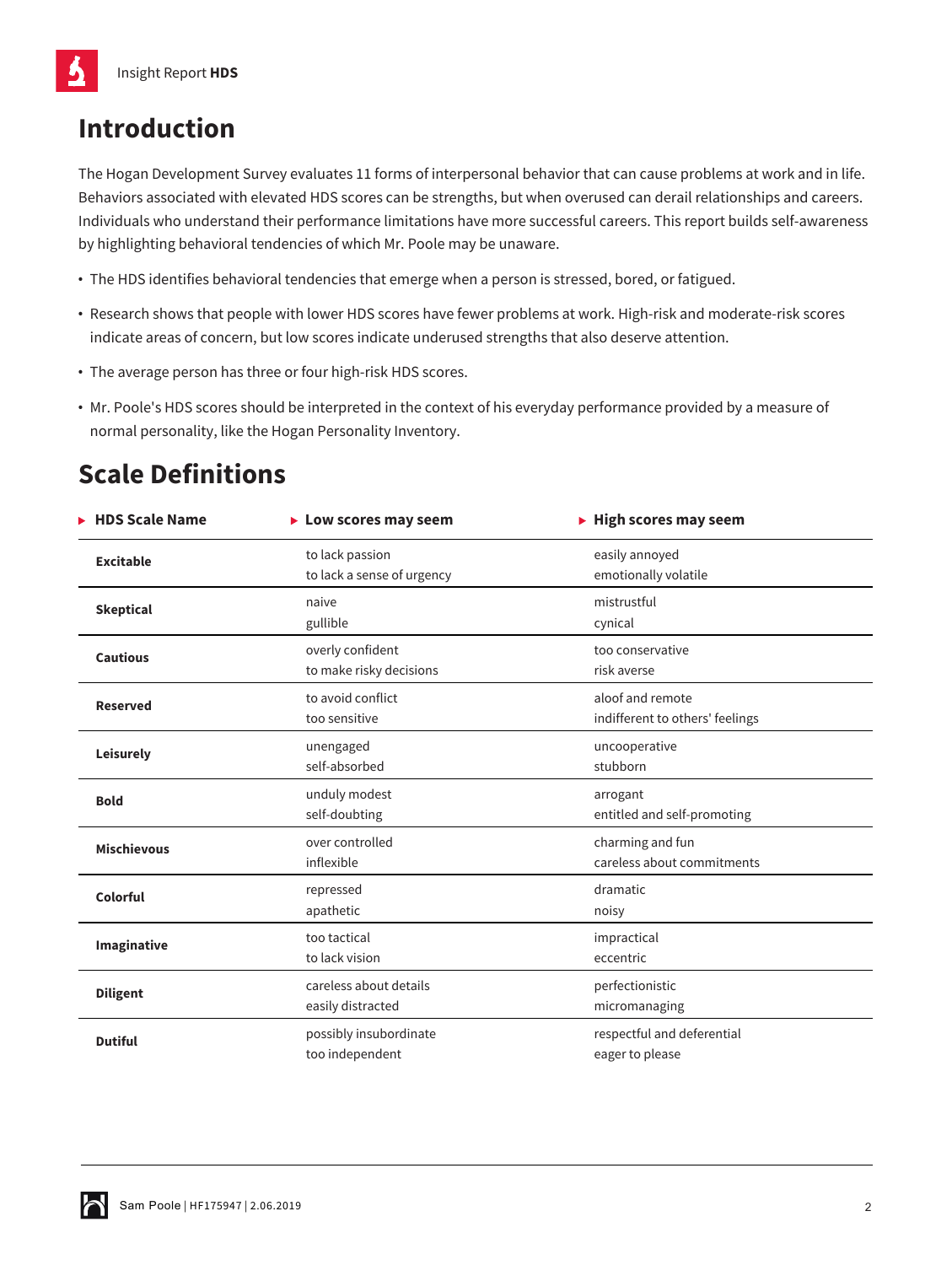# **Introduction**

The Hogan Development Survey evaluates 11 forms of interpersonal behavior that can cause problems at work and in life. Behaviors associated with elevated HDS scores can be strengths, but when overused can derail relationships and careers. Individuals who understand their performance limitations have more successful careers. This report builds self-awareness by highlighting behavioral tendencies of which Mr. Poole may be unaware.

- **•** The HDS identifies behavioral tendencies that emerge when a person is stressed, bored, or fatigued.
- **•** Research shows that people with lower HDS scores have fewer problems at work. High-risk and moderate-risk scores indicate areas of concern, but low scores indicate underused strengths that also deserve attention.
- **•** The average person has three or four high-risk HDS scores.
- **•** Mr. Poole's HDS scores should be interpreted in the context of his everyday performance provided by a measure of normal personality, like the Hogan Personality Inventory.

# **Scale Definitions**

| <b>HDS Scale Name</b> | $\blacktriangleright$ Low scores may seem     | $\blacktriangleright$ High scores may seem          |
|-----------------------|-----------------------------------------------|-----------------------------------------------------|
| <b>Excitable</b>      | to lack passion<br>to lack a sense of urgency | easily annoyed<br>emotionally volatile              |
| <b>Skeptical</b>      | naive<br>gullible                             | mistrustful<br>cynical                              |
| <b>Cautious</b>       | overly confident<br>to make risky decisions   | too conservative<br>risk averse                     |
| <b>Reserved</b>       | to avoid conflict<br>too sensitive            | aloof and remote<br>indifferent to others' feelings |
| Leisurely             | unengaged<br>self-absorbed                    | uncooperative<br>stubborn                           |
| <b>Bold</b>           | unduly modest<br>self-doubting                | arrogant<br>entitled and self-promoting             |
| <b>Mischievous</b>    | over controlled<br>inflexible                 | charming and fun<br>careless about commitments      |
| Colorful              | repressed<br>apathetic                        | dramatic<br>noisy                                   |
| Imaginative           | too tactical<br>to lack vision                | impractical<br>eccentric                            |
| <b>Diligent</b>       | careless about details<br>easily distracted   | perfectionistic<br>micromanaging                    |
| <b>Dutiful</b>        | possibly insubordinate<br>too independent     | respectful and deferential<br>eager to please       |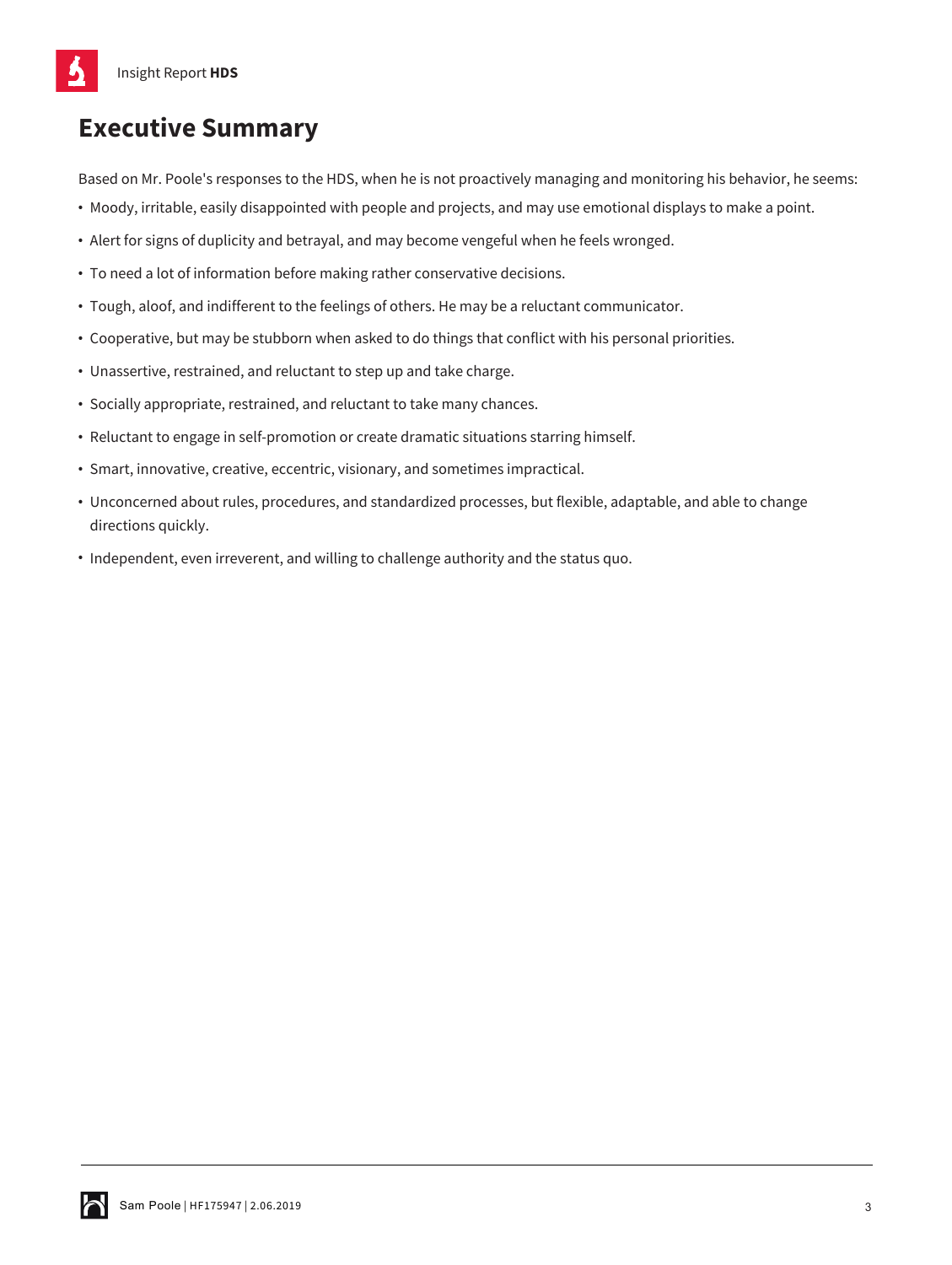# **Executive Summary**

Based on Mr. Poole's responses to the HDS, when he is not proactively managing and monitoring his behavior, he seems:

- **•** Moody, irritable, easily disappointed with people and projects, and may use emotional displays to make a point.
- **•** Alert for signs of duplicity and betrayal, and may become vengeful when he feels wronged.
- **•** To need a lot of information before making rather conservative decisions.
- **•** Tough, aloof, and indifferent to the feelings of others. He may be a reluctant communicator.
- **•** Cooperative, but may be stubborn when asked to do things that conflict with his personal priorities.
- **•** Unassertive, restrained, and reluctant to step up and take charge.
- **•** Socially appropriate, restrained, and reluctant to take many chances.
- **•** Reluctant to engage in self-promotion or create dramatic situations starring himself.
- **•** Smart, innovative, creative, eccentric, visionary, and sometimes impractical.
- **•** Unconcerned about rules, procedures, and standardized processes, but flexible, adaptable, and able to change directions quickly.
- **•** Independent, even irreverent, and willing to challenge authority and the status quo.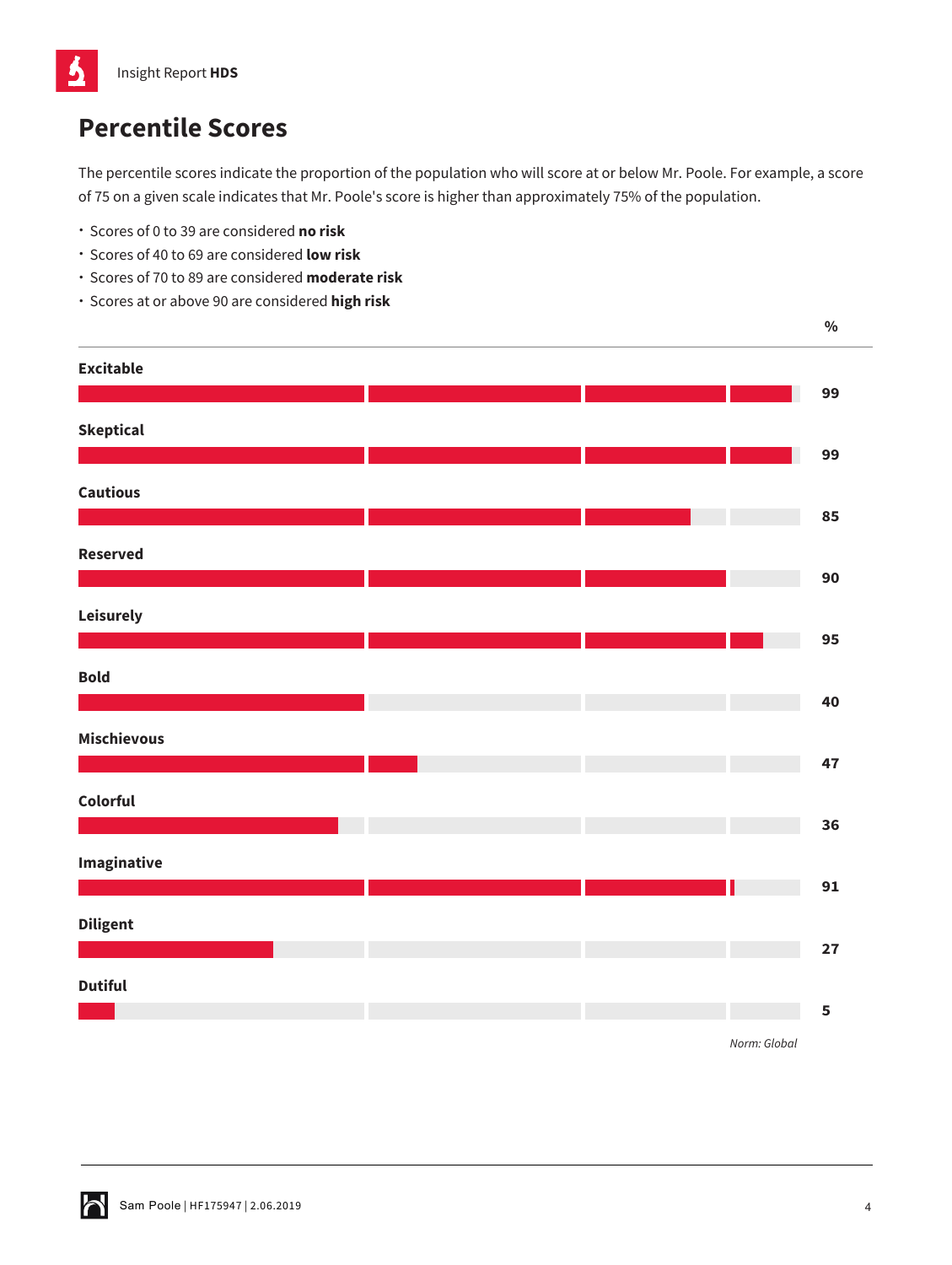

# **Percentile Scores**

The percentile scores indicate the proportion of the population who will score at or below Mr. Poole. For example, a score of 75 on a given scale indicates that Mr. Poole's score is higher than approximately 75% of the population.

- Scores of 0 to 39 are considered **no risk**
- Scores of 40 to 69 are considered **low risk**
- Scores of 70 to 89 are considered **moderate risk**
- Scores at or above 90 are considered **high risk**

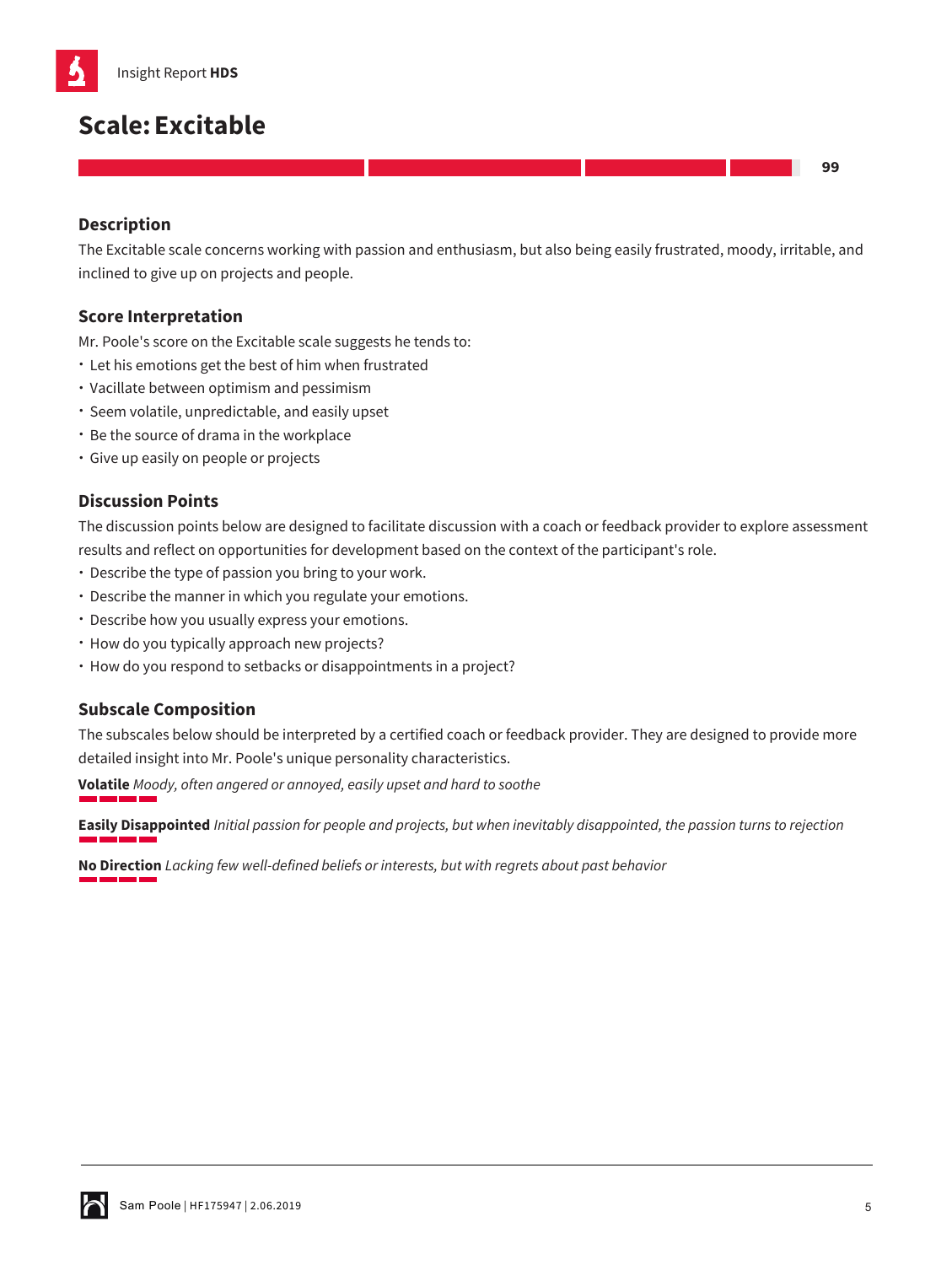

# **Scale:Excitable**

## **Description**

The Excitable scale concerns working with passion and enthusiasm, but also being easily frustrated, moody, irritable, and inclined to give up on projects and people.

### **Score Interpretation**

Mr. Poole's score on the Excitable scale suggests he tends to:

- Let his emotions get the best of him when frustrated
- Vacillate between optimism and pessimism
- Seem volatile, unpredictable, and easily upset
- Be the source of drama in the workplace
- Give up easily on people or projects

## **Discussion Points**

The discussion points below are designed to facilitate discussion with a coach or feedback provider to explore assessment results and reflect on opportunities for development based on the context of the participant's role.

- Describe the type of passion you bring to your work.
- Describe the manner in which you regulate your emotions.
- Describe how you usually express your emotions.
- How do you typically approach new projects?
- How do you respond to setbacks or disappointments in a project?

#### **Subscale Composition**

The subscales below should be interpreted by a certified coach or feedback provider. They are designed to provide more detailed insight into Mr. Poole's unique personality characteristics.

**Volatile** *Moody, often angered or annoyed, easily upset and hard to soothe*

**Easily Disappointed** *Initial passion for people and projects, but when inevitably disappointed, the passion turns to rejection*

**No Direction** *Lacking few well-defined beliefs or interests, but with regrets about past behavior*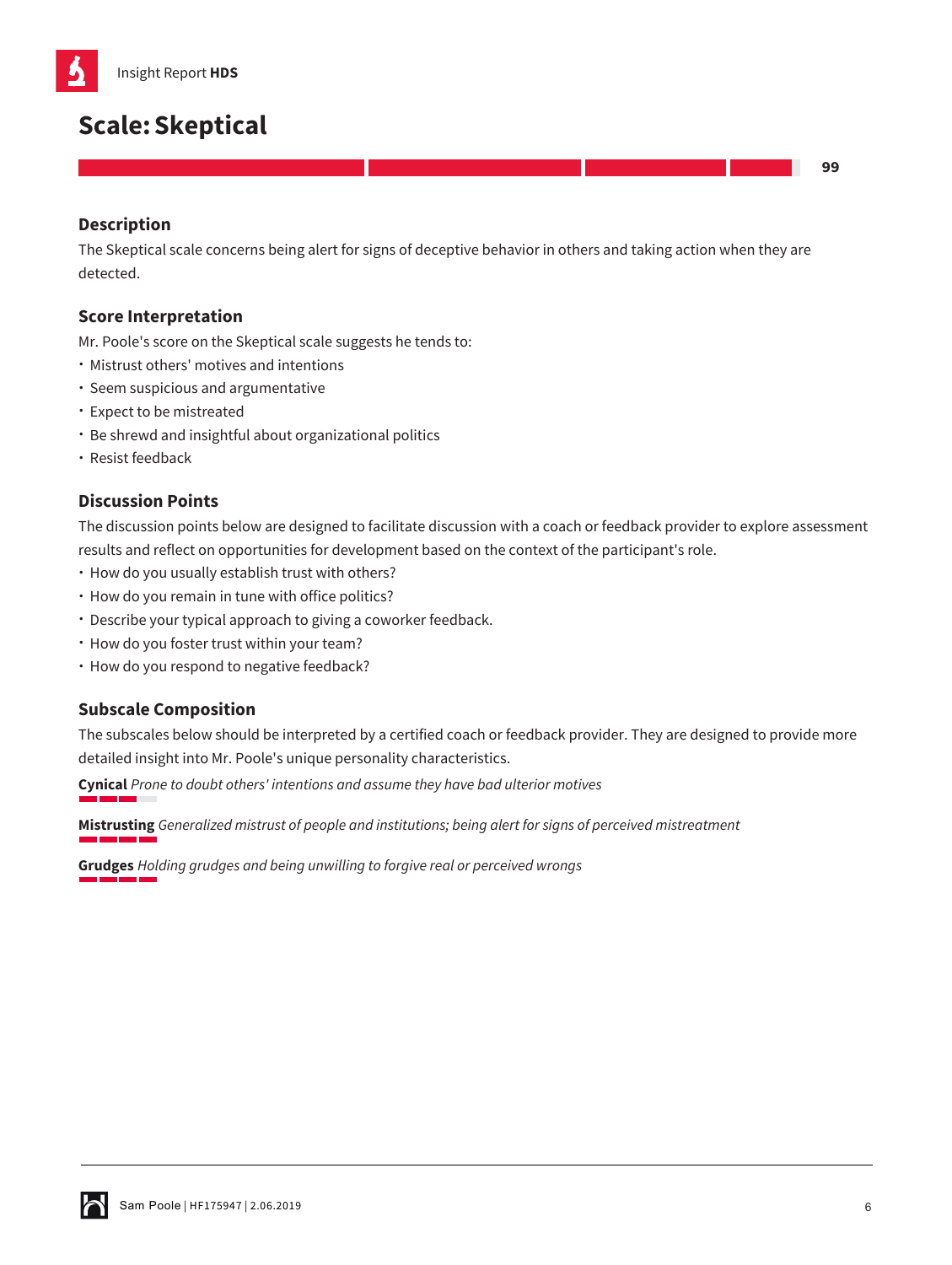

# **Scale:Skeptical**

**99**

# **Description**

The Skeptical scale concerns being alert for signs of deceptive behavior in others and taking action when they are detected.

#### **Score Interpretation**

Mr. Poole's score on the Skeptical scale suggests he tends to:

- Mistrust others' motives and intentions
- Seem suspicious and argumentative
- Expect to be mistreated
- Be shrewd and insightful about organizational politics
- Resist feedback

## **Discussion Points**

The discussion points below are designed to facilitate discussion with a coach or feedback provider to explore assessment results and reflect on opportunities for development based on the context of the participant's role.

- How do you usually establish trust with others?
- How do you remain in tune with office politics?
- Describe your typical approach to giving a coworker feedback.
- How do you foster trust within your team?
- How do you respond to negative feedback?

#### **Subscale Composition**

The subscales below should be interpreted by a certified coach or feedback provider. They are designed to provide more detailed insight into Mr. Poole's unique personality characteristics.

**Cynical** *Prone to doubt others' intentions and assume they have bad ulterior motives*

**Mistrusting** *Generalized mistrust of people and institutions; being alert for signs of perceived mistreatment*

**Grudges** *Holding grudges and being unwilling to forgive real or perceived wrongs*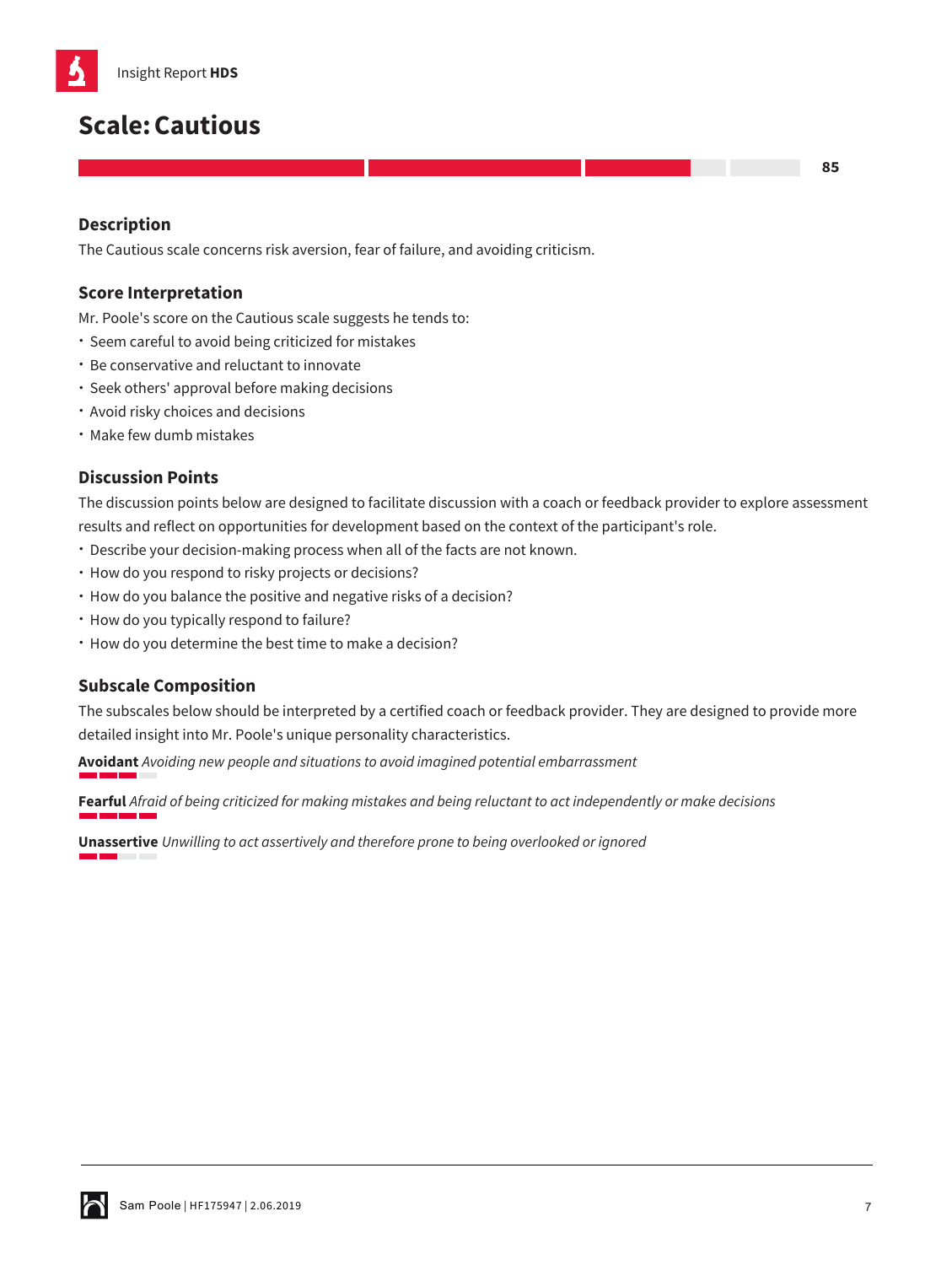

# **Scale:Cautious**

## **Description**

The Cautious scale concerns risk aversion, fear of failure, and avoiding criticism.

## **Score Interpretation**

Mr. Poole's score on the Cautious scale suggests he tends to:

- Seem careful to avoid being criticized for mistakes
- Be conservative and reluctant to innovate
- Seek others' approval before making decisions
- Avoid risky choices and decisions
- Make few dumb mistakes

## **Discussion Points**

The discussion points below are designed to facilitate discussion with a coach or feedback provider to explore assessment results and reflect on opportunities for development based on the context of the participant's role.

- Describe your decision-making process when all of the facts are not known.
- How do you respond to risky projects or decisions?
- How do you balance the positive and negative risks of a decision?
- How do you typically respond to failure?
- How do you determine the best time to make a decision?

#### **Subscale Composition**

The subscales below should be interpreted by a certified coach or feedback provider. They are designed to provide more detailed insight into Mr. Poole's unique personality characteristics.

**Avoidant** *Avoiding new people and situations to avoid imagined potential embarrassment*

**Fearful** *Afraid of being criticized for making mistakes and being reluctant to act independently or make decisions* m n

**Unassertive** *Unwilling to act assertively and therefore prone to being overlooked or ignored*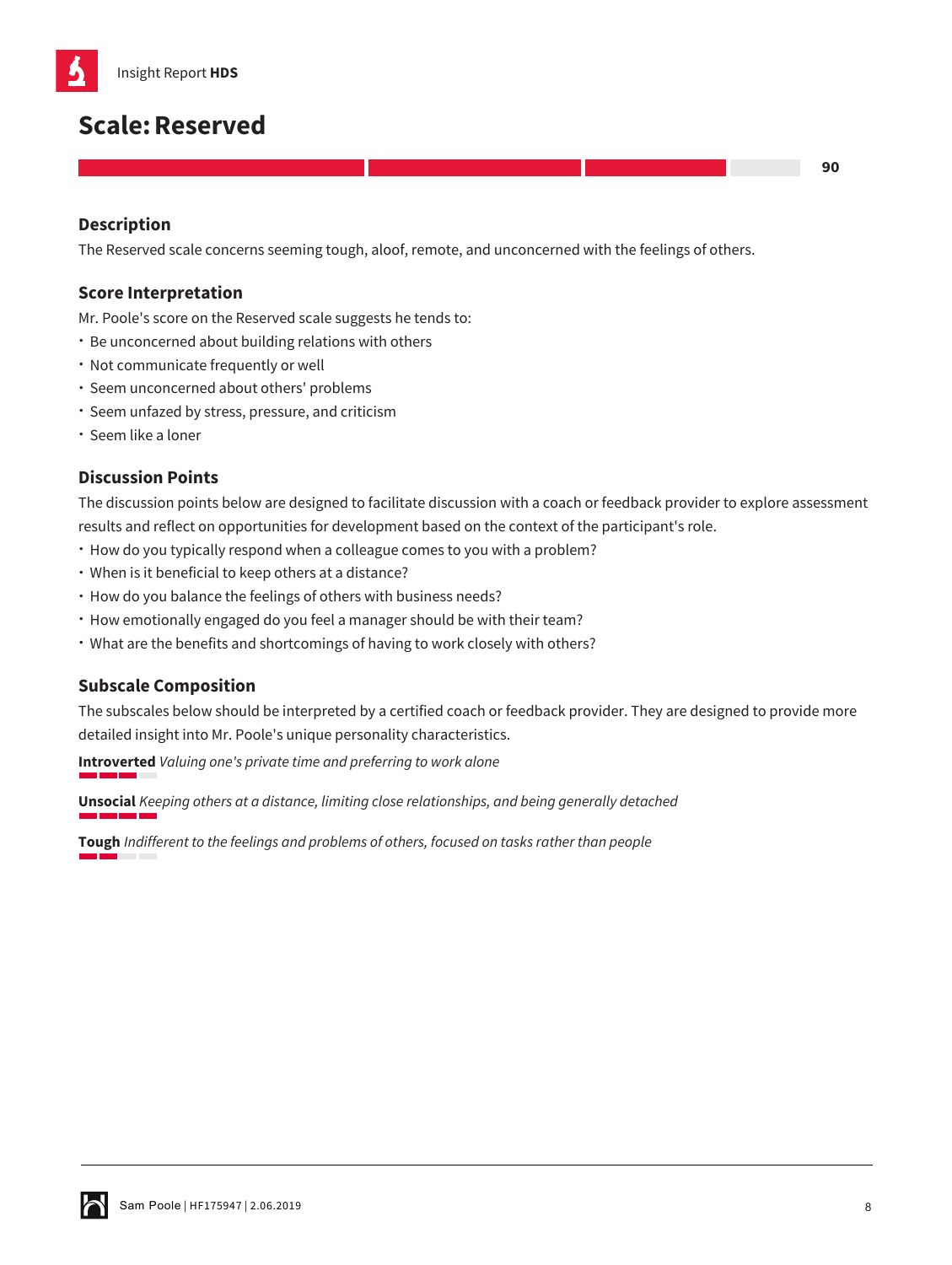

# **Scale:Reserved**

## **Description**

The Reserved scale concerns seeming tough, aloof, remote, and unconcerned with the feelings of others.

#### **Score Interpretation**

Mr. Poole's score on the Reserved scale suggests he tends to:

- Be unconcerned about building relations with others
- Not communicate frequently or well
- Seem unconcerned about others' problems
- Seem unfazed by stress, pressure, and criticism
- Seem like a loner

#### **Discussion Points**

The discussion points below are designed to facilitate discussion with a coach or feedback provider to explore assessment results and reflect on opportunities for development based on the context of the participant's role.

- How do you typically respond when a colleague comes to you with a problem?
- When is it beneficial to keep others at a distance?
- How do you balance the feelings of others with business needs?
- How emotionally engaged do you feel a manager should be with their team?
- What are the benefits and shortcomings of having to work closely with others?

#### **Subscale Composition**

The subscales below should be interpreted by a certified coach or feedback provider. They are designed to provide more detailed insight into Mr. Poole's unique personality characteristics.

**Introverted** *Valuing one's private time and preferring to work alone*

**Unsocial** *Keeping others at a distance, limiting close relationships, and being generally detached*

**Tough** *Indifferent to the feelings and problems of others, focused on tasks rather than people*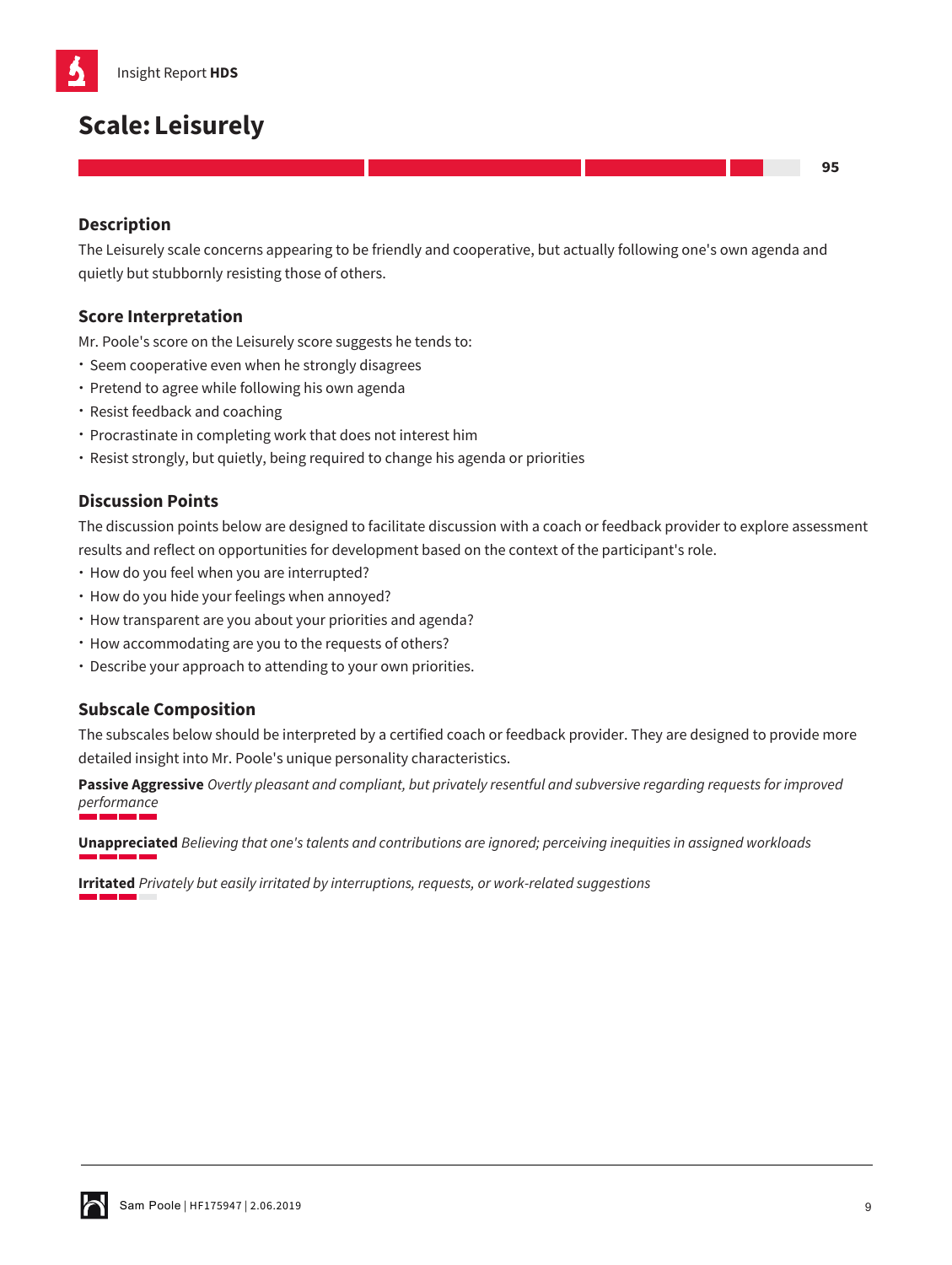

# **Scale:Leisurely**

## **Description**

The Leisurely scale concerns appearing to be friendly and cooperative, but actually following one's own agenda and quietly but stubbornly resisting those of others.

### **Score Interpretation**

Mr. Poole's score on the Leisurely score suggests he tends to:

- Seem cooperative even when he strongly disagrees
- Pretend to agree while following his own agenda
- Resist feedback and coaching
- Procrastinate in completing work that does not interest him
- Resist strongly, but quietly, being required to change his agenda or priorities

## **Discussion Points**

The discussion points below are designed to facilitate discussion with a coach or feedback provider to explore assessment results and reflect on opportunities for development based on the context of the participant's role.

- How do you feel when you are interrupted?
- How do you hide your feelings when annoyed?
- How transparent are you about your priorities and agenda?
- How accommodating are you to the requests of others?
- Describe your approach to attending to your own priorities.

#### **Subscale Composition**

The subscales below should be interpreted by a certified coach or feedback provider. They are designed to provide more detailed insight into Mr. Poole's unique personality characteristics.

**Passive Aggressive** *Overtly pleasant and compliant, but privately resentful and subversive regarding requests for improved performance*

**Unappreciated** *Believing that one's talents and contributions are ignored; perceiving inequities in assigned workloads*

**Irritated** *Privately but easily irritated by interruptions, requests, or work-related suggestions*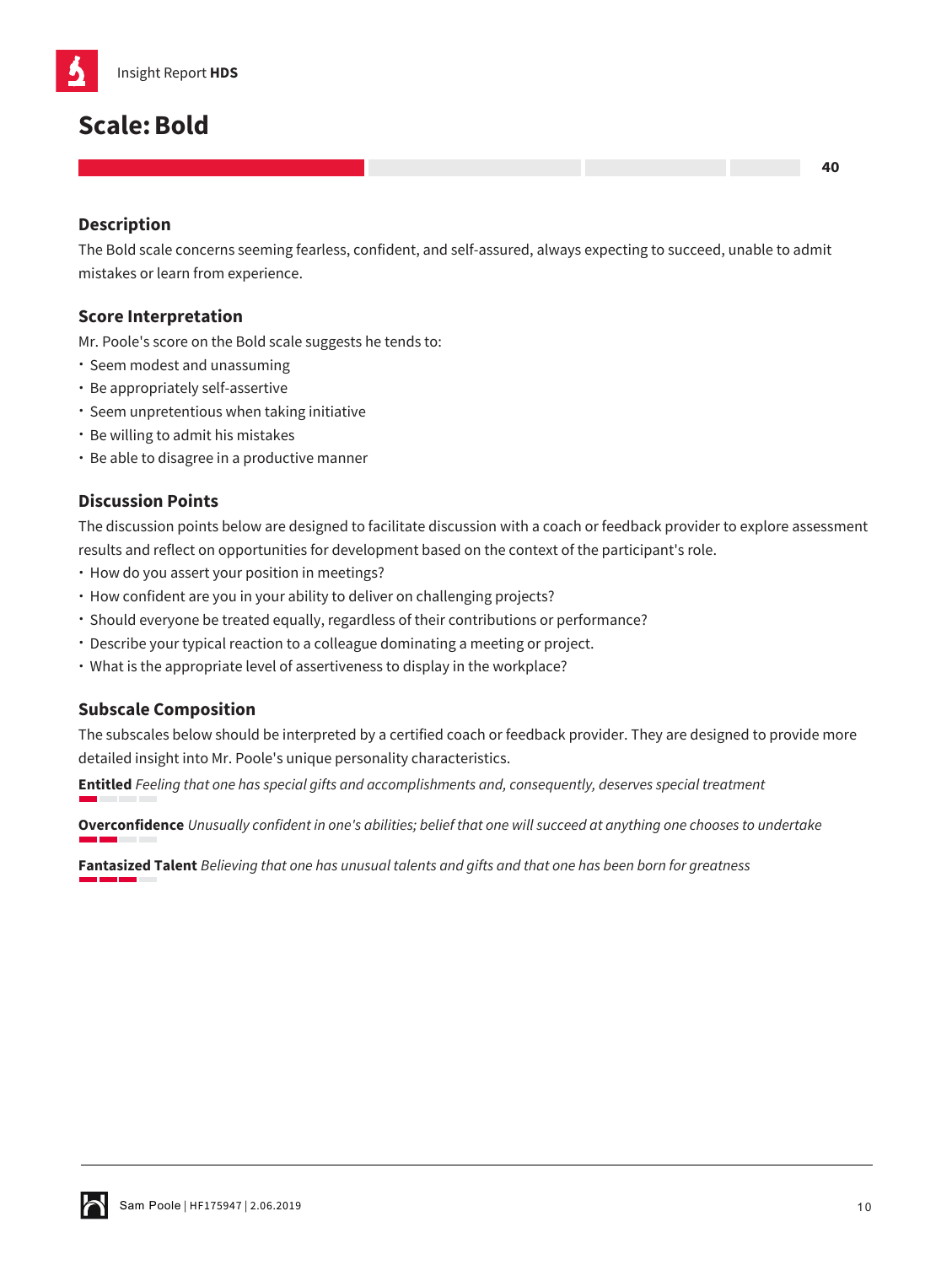

# **Scale:Bold**

# **Description**

The Bold scale concerns seeming fearless, confident, and self-assured, always expecting to succeed, unable to admit mistakes or learn from experience.

## **Score Interpretation**

Mr. Poole's score on the Bold scale suggests he tends to:

- Seem modest and unassuming
- Be appropriately self-assertive
- Seem unpretentious when taking initiative
- Be willing to admit his mistakes
- Be able to disagree in a productive manner

# **Discussion Points**

The discussion points below are designed to facilitate discussion with a coach or feedback provider to explore assessment results and reflect on opportunities for development based on the context of the participant's role.

- How do you assert your position in meetings?
- How confident are you in your ability to deliver on challenging projects?
- Should everyone be treated equally, regardless of their contributions or performance?
- Describe your typical reaction to a colleague dominating a meeting or project.
- What is the appropriate level of assertiveness to display in the workplace?

#### **Subscale Composition**

The subscales below should be interpreted by a certified coach or feedback provider. They are designed to provide more detailed insight into Mr. Poole's unique personality characteristics.

**Entitled** *Feeling that one has special gifts and accomplishments and, consequently, deserves special treatment*

**Overconfidence** *Unusually confident in one's abilities; belief that one will succeed at anything one chooses to undertake*

**Fantasized Talent** *Believing that one has unusual talents and gifts and that one has been born for greatness*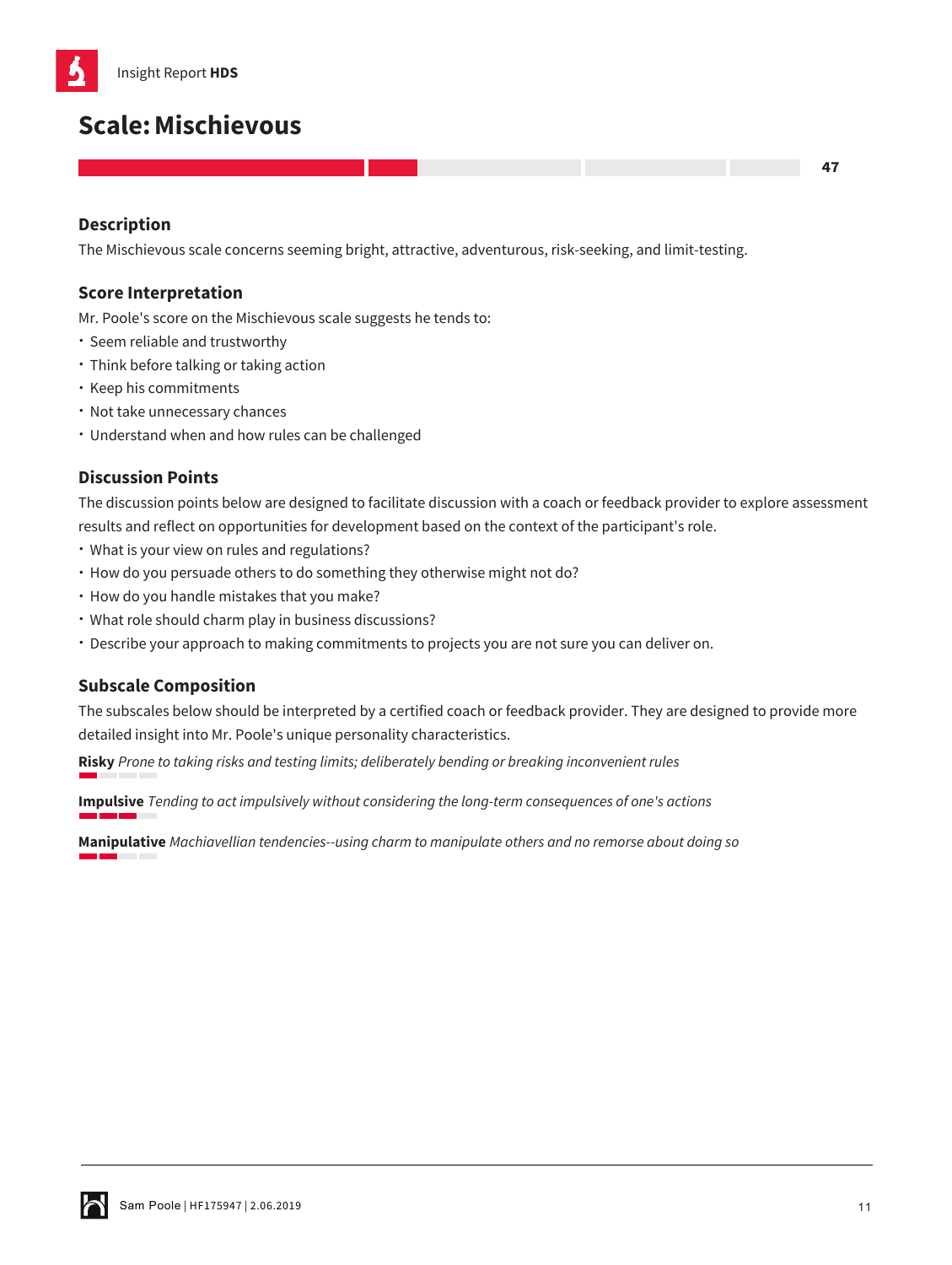

# **Scale:Mischievous**

## **Description**

The Mischievous scale concerns seeming bright, attractive, adventurous, risk-seeking, and limit-testing.

#### **Score Interpretation**

Mr. Poole's score on the Mischievous scale suggests he tends to:

- Seem reliable and trustworthy
- Think before talking or taking action
- Keep his commitments
- Not take unnecessary chances
- Understand when and how rules can be challenged

#### **Discussion Points**

The discussion points below are designed to facilitate discussion with a coach or feedback provider to explore assessment results and reflect on opportunities for development based on the context of the participant's role.

- What is your view on rules and regulations?
- How do you persuade others to do something they otherwise might not do?
- How do you handle mistakes that you make?
- What role should charm play in business discussions?
- Describe your approach to making commitments to projects you are not sure you can deliver on.

#### **Subscale Composition**

The subscales below should be interpreted by a certified coach or feedback provider. They are designed to provide more detailed insight into Mr. Poole's unique personality characteristics.

**Risky** *Prone to taking risks and testing limits; deliberately bending or breaking inconvenient rules*

**Impulsive** *Tending to act impulsively without considering the long-term consequences of one's actions*

**Manipulative** *Machiavellian tendencies--using charm to manipulate others and no remorse about doing so*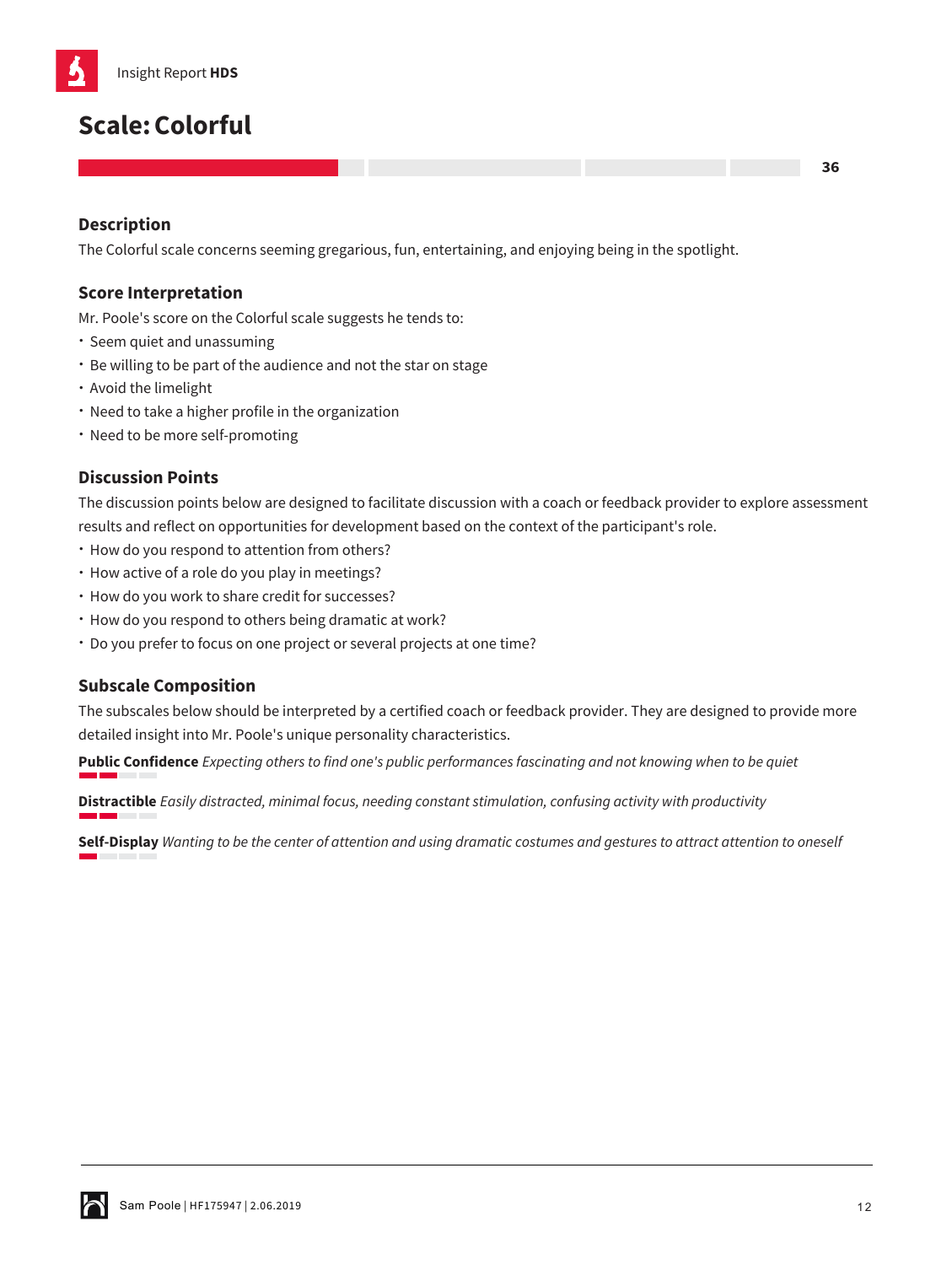

# **Scale:Colorful**

# **Description**

The Colorful scale concerns seeming gregarious, fun, entertaining, and enjoying being in the spotlight.

## **Score Interpretation**

Mr. Poole's score on the Colorful scale suggests he tends to:

- Seem quiet and unassuming
- Be willing to be part of the audience and not the star on stage
- Avoid the limelight
- Need to take a higher profile in the organization
- Need to be more self-promoting

# **Discussion Points**

The discussion points below are designed to facilitate discussion with a coach or feedback provider to explore assessment results and reflect on opportunities for development based on the context of the participant's role.

- How do you respond to attention from others?
- How active of a role do you play in meetings?
- How do you work to share credit for successes?
- How do you respond to others being dramatic at work?
- Do you prefer to focus on one project or several projects at one time?

#### **Subscale Composition**

The subscales below should be interpreted by a certified coach or feedback provider. They are designed to provide more detailed insight into Mr. Poole's unique personality characteristics.

**Public Confidence** *Expecting others to find one's public performances fascinating and not knowing when to be quiet*

**Distractible** *Easily distracted, minimal focus, needing constant stimulation, confusing activity with productivity*

**Self-Display** *Wanting to be the center of attention and using dramatic costumes and gestures to attract attention to oneself*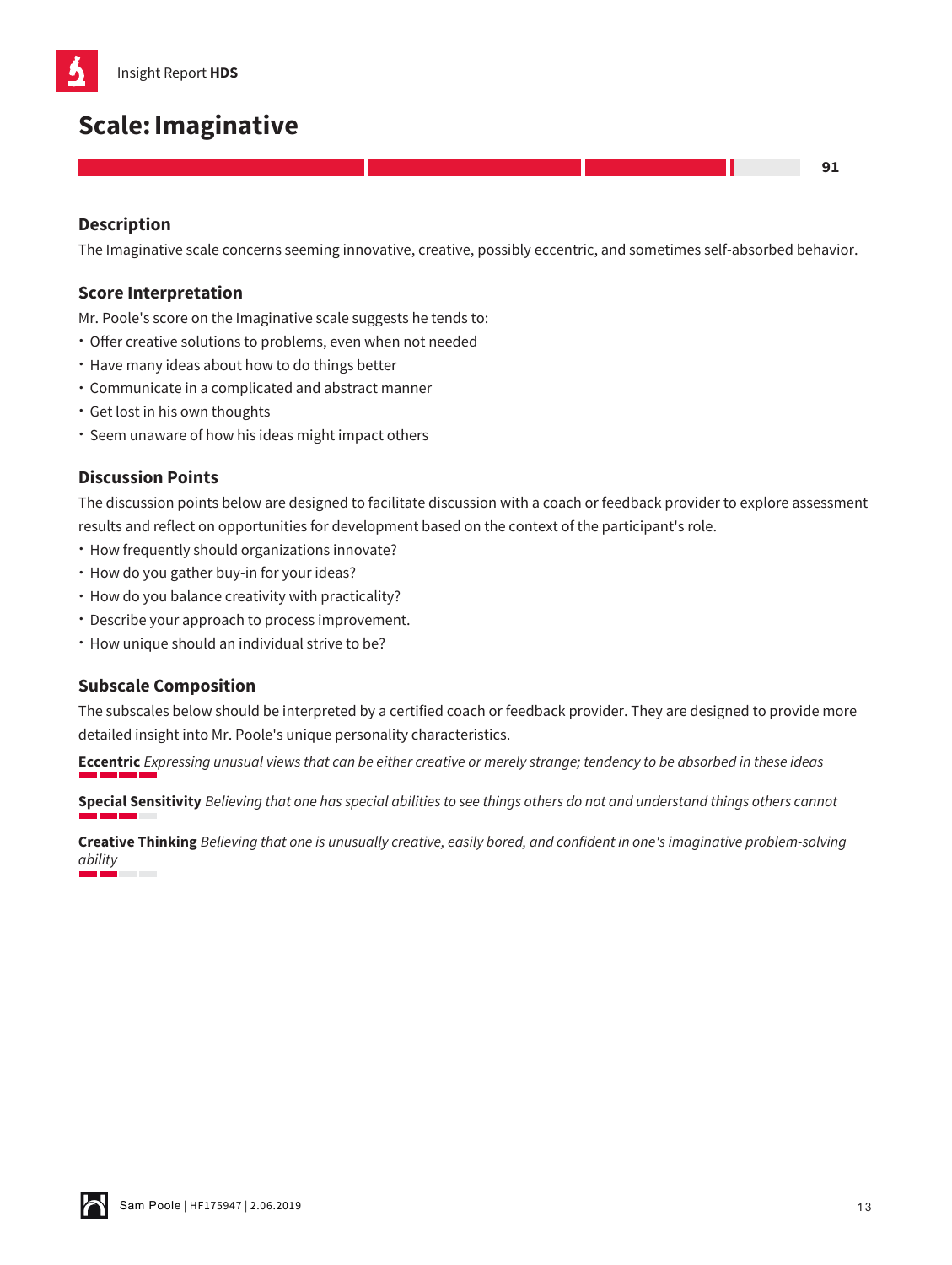# **Scale:Imaginative**

# **Description**

The Imaginative scale concerns seeming innovative, creative, possibly eccentric, and sometimes self-absorbed behavior.

## **Score Interpretation**

Mr. Poole's score on the Imaginative scale suggests he tends to:

- Offer creative solutions to problems, even when not needed
- Have many ideas about how to do things better
- Communicate in a complicated and abstract manner
- Get lost in his own thoughts
- Seem unaware of how his ideas might impact others

# **Discussion Points**

The discussion points below are designed to facilitate discussion with a coach or feedback provider to explore assessment results and reflect on opportunities for development based on the context of the participant's role.

- How frequently should organizations innovate?
- How do you gather buy-in for your ideas?
- How do you balance creativity with practicality?
- Describe your approach to process improvement.
- How unique should an individual strive to be?

#### **Subscale Composition**

The subscales below should be interpreted by a certified coach or feedback provider. They are designed to provide more detailed insight into Mr. Poole's unique personality characteristics.

**Eccentric** *Expressing unusual views that can be either creative or merely strange; tendency to be absorbed in these ideas*

**Special Sensitivity** *Believing that one has special abilities to see things others do not and understand things others cannot*

**Creative Thinking** *Believing that one is unusually creative, easily bored, and confident in one's imaginative problem-solving ability*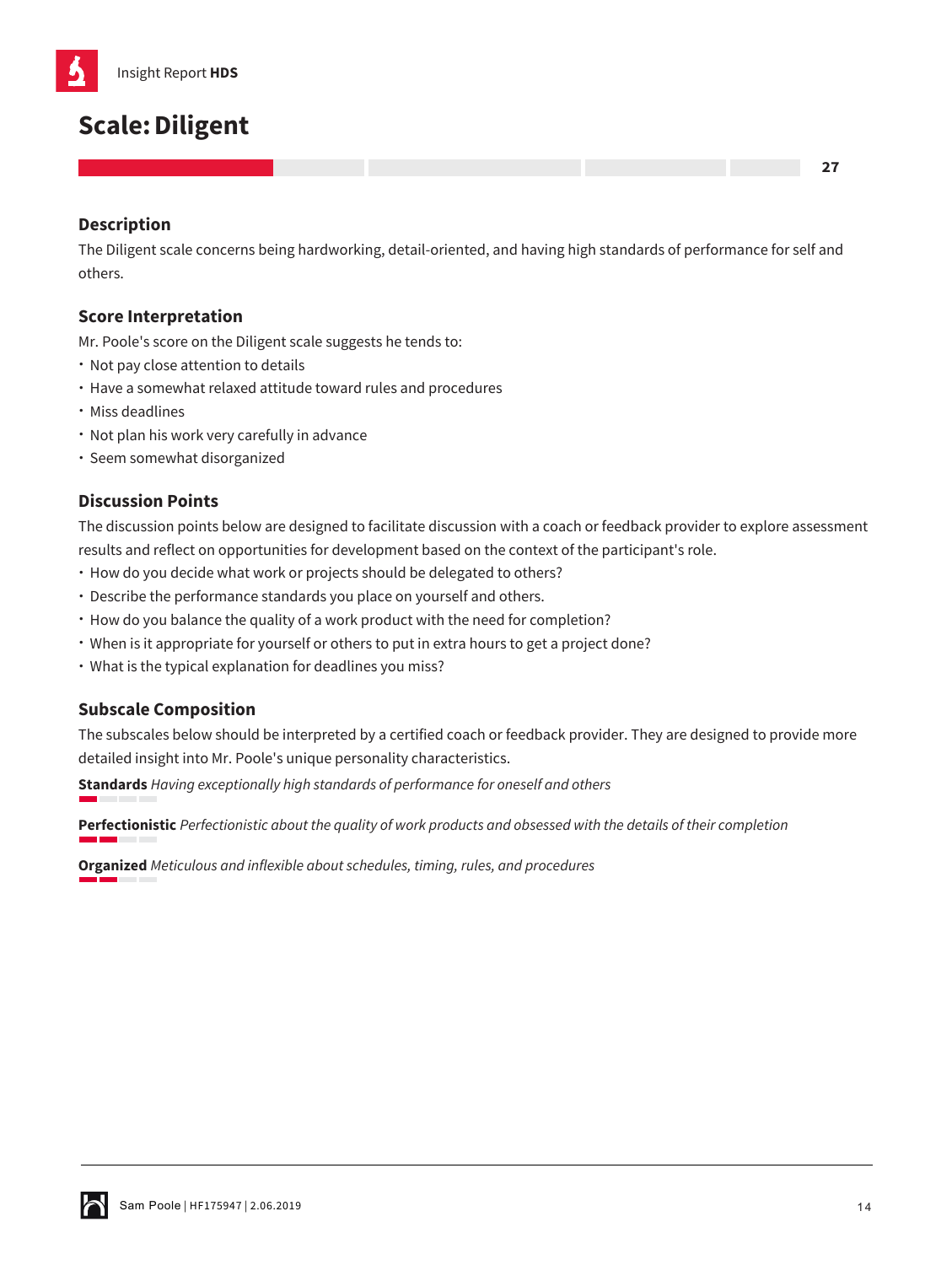# **Scale:Diligent**

# **Description**

The Diligent scale concerns being hardworking, detail-oriented, and having high standards of performance for self and others.

## **Score Interpretation**

Mr. Poole's score on the Diligent scale suggests he tends to:

- Not pay close attention to details
- Have a somewhat relaxed attitude toward rules and procedures
- Miss deadlines
- Not plan his work very carefully in advance
- Seem somewhat disorganized

# **Discussion Points**

The discussion points below are designed to facilitate discussion with a coach or feedback provider to explore assessment results and reflect on opportunities for development based on the context of the participant's role.

- How do you decide what work or projects should be delegated to others?
- Describe the performance standards you place on yourself and others.
- How do you balance the quality of a work product with the need for completion?
- When is it appropriate for yourself or others to put in extra hours to get a project done?
- What is the typical explanation for deadlines you miss?

#### **Subscale Composition**

The subscales below should be interpreted by a certified coach or feedback provider. They are designed to provide more detailed insight into Mr. Poole's unique personality characteristics.

**Standards** *Having exceptionally high standards of performance for oneself and others*

**Perfectionistic** *Perfectionistic about the quality of work products and obsessed with the details of their completion*

**Organized** *Meticulous and inflexible about schedules, timing, rules, and procedures*